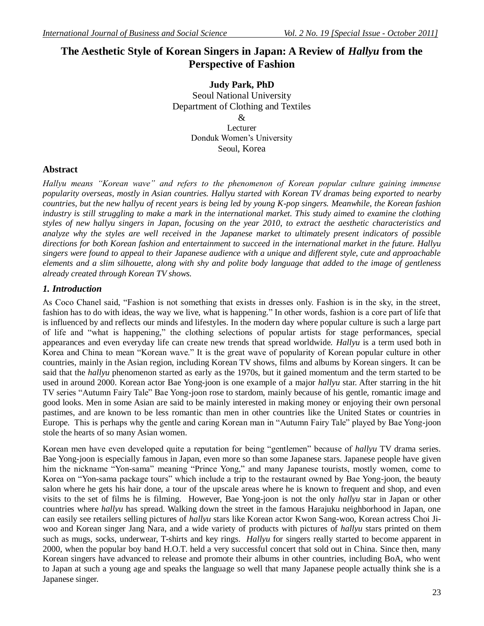# The Aesthetic Style of Korean Singers in Japan: A Review of *Hallyu* from the **Perspective of Fashion**

**Judy Park, PhD** Seoul National University Department of Clothing and Textiles & Lecturer Donduk Women"s University Seoul, Korea

## **Abstract**

*Hallyu means "Korean wave" and refers to the phenomenon of Korean popular culture gaining immense popularity overseas, mostly in Asian countries. Hallyu started with Korean TV dramas being exported to nearby countries, but the new hallyu of recent years is being led by young K-pop singers. Meanwhile, the Korean fashion industry is still struggling to make a mark in the international market. This study aimed to examine the clothing styles of new hallyu singers in Japan, focusing on the year 2010, to extract the aesthetic characteristics and analyze why the styles are well received in the Japanese market to ultimately present indicators of possible directions for both Korean fashion and entertainment to succeed in the international market in the future. Hallyu singers were found to appeal to their Japanese audience with a unique and different style, cute and approachable elements and a slim silhouette, along with shy and polite body language that added to the image of gentleness already created through Korean TV shows.*

## *1. Introduction*

As Coco Chanel said, "Fashion is not something that exists in dresses only. Fashion is in the sky, in the street, fashion has to do with ideas, the way we live, what is happening." In other words, fashion is a core part of life that is influenced by and reflects our minds and lifestyles. In the modern day where popular culture is such a large part of life and "what is happening," the clothing selections of popular artists for stage performances, special appearances and even everyday life can create new trends that spread worldwide. *Hallyu* is a term used both in Korea and China to mean "Korean wave." It is the great wave of popularity of Korean popular culture in other countries, mainly in the Asian region, including Korean TV shows, films and albums by Korean singers. It can be said that the *hallyu* phenomenon started as early as the 1970s, but it gained momentum and the term started to be used in around 2000. Korean actor Bae Yong-joon is one example of a major *hallyu* star. After starring in the hit TV series "Autumn Fairy Tale" Bae Yong-joon rose to stardom, mainly because of his gentle, romantic image and good looks. Men in some Asian are said to be mainly interested in making money or enjoying their own personal pastimes, and are known to be less romantic than men in other countries like the United States or countries in Europe. This is perhaps why the gentle and caring Korean man in "Autumn Fairy Tale" played by Bae Yong-joon stole the hearts of so many Asian women.

Korean men have even developed quite a reputation for being "gentlemen" because of *hallyu* TV drama series. Bae Yong-joon is especially famous in Japan, even more so than some Japanese stars. Japanese people have given him the nickname "Yon-sama" meaning "Prince Yong," and many Japanese tourists, mostly women, come to Korea on "Yon-sama package tours" which include a trip to the restaurant owned by Bae Yong-joon, the beauty salon where he gets his hair done, a tour of the upscale areas where he is known to frequent and shop, and even visits to the set of films he is filming. However, Bae Yong-joon is not the only *hallyu* star in Japan or other countries where *hallyu* has spread. Walking down the street in the famous Harajuku neighborhood in Japan, one can easily see retailers selling pictures of *hallyu* stars like Korean actor Kwon Sang-woo, Korean actress Choi Jiwoo and Korean singer Jang Nara, and a wide variety of products with pictures of *hallyu* stars printed on them such as mugs, socks, underwear, T-shirts and key rings. *Hallyu* for singers really started to become apparent in 2000, when the popular boy band H.O.T. held a very successful concert that sold out in China. Since then, many Korean singers have advanced to release and promote their albums in other countries, including BoA, who went to Japan at such a young age and speaks the language so well that many Japanese people actually think she is a Japanese singer.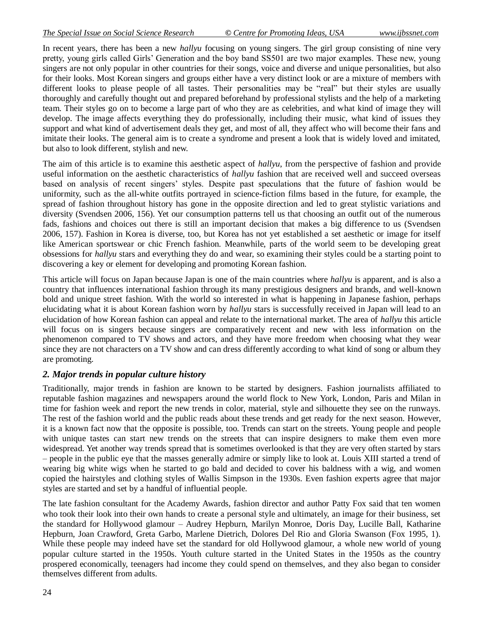In recent years, there has been a new *hallyu* focusing on young singers. The girl group consisting of nine very pretty, young girls called Girls" Generation and the boy band SS501 are two major examples. These new, young singers are not only popular in other countries for their songs, voice and diverse and unique personalities, but also for their looks. Most Korean singers and groups either have a very distinct look or are a mixture of members with different looks to please people of all tastes. Their personalities may be "real" but their styles are usually thoroughly and carefully thought out and prepared beforehand by professional stylists and the help of a marketing team. Their styles go on to become a large part of who they are as celebrities, and what kind of image they will develop. The image affects everything they do professionally, including their music, what kind of issues they support and what kind of advertisement deals they get, and most of all, they affect who will become their fans and imitate their looks. The general aim is to create a syndrome and present a look that is widely loved and imitated, but also to look different, stylish and new.

The aim of this article is to examine this aesthetic aspect of *hallyu*, from the perspective of fashion and provide useful information on the aesthetic characteristics of *hallyu* fashion that are received well and succeed overseas based on analysis of recent singers' styles. Despite past speculations that the future of fashion would be uniformity, such as the all-white outfits portrayed in science-fiction films based in the future, for example, the spread of fashion throughout history has gone in the opposite direction and led to great stylistic variations and diversity (Svendsen 2006, 156). Yet our consumption patterns tell us that choosing an outfit out of the numerous fads, fashions and choices out there is still an important decision that makes a big difference to us (Svendsen 2006, 157). Fashion in Korea is diverse, too, but Korea has not yet established a set aesthetic or image for itself like American sportswear or chic French fashion. Meanwhile, parts of the world seem to be developing great obsessions for *hallyu* stars and everything they do and wear, so examining their styles could be a starting point to discovering a key or element for developing and promoting Korean fashion.

This article will focus on Japan because Japan is one of the main countries where *hallyu* is apparent, and is also a country that influences international fashion through its many prestigious designers and brands, and well-known bold and unique street fashion. With the world so interested in what is happening in Japanese fashion, perhaps elucidating what it is about Korean fashion worn by *hallyu* stars is successfully received in Japan will lead to an elucidation of how Korean fashion can appeal and relate to the international market. The area of *hallyu* this article will focus on is singers because singers are comparatively recent and new with less information on the phenomenon compared to TV shows and actors, and they have more freedom when choosing what they wear since they are not characters on a TV show and can dress differently according to what kind of song or album they are promoting.

### *2. Major trends in popular culture history*

Traditionally, major trends in fashion are known to be started by designers. Fashion journalists affiliated to reputable fashion magazines and newspapers around the world flock to New York, London, Paris and Milan in time for fashion week and report the new trends in color, material, style and silhouette they see on the runways. The rest of the fashion world and the public reads about these trends and get ready for the next season. However, it is a known fact now that the opposite is possible, too. Trends can start on the streets. Young people and people with unique tastes can start new trends on the streets that can inspire designers to make them even more widespread. Yet another way trends spread that is sometimes overlooked is that they are very often started by stars – people in the public eye that the masses generally admire or simply like to look at. Louis XIII started a trend of wearing big white wigs when he started to go bald and decided to cover his baldness with a wig, and women copied the hairstyles and clothing styles of Wallis Simpson in the 1930s. Even fashion experts agree that major styles are started and set by a handful of influential people.

The late fashion consultant for the Academy Awards, fashion director and author Patty Fox said that ten women who took their look into their own hands to create a personal style and ultimately, an image for their business, set the standard for Hollywood glamour – Audrey Hepburn, Marilyn Monroe, Doris Day, Lucille Ball, Katharine Hepburn, Joan Crawford, Greta Garbo, Marlene Dietrich, Dolores Del Rio and Gloria Swanson (Fox 1995, 1). While these people may indeed have set the standard for old Hollywood glamour, a whole new world of young popular culture started in the 1950s. Youth culture started in the United States in the 1950s as the country prospered economically, teenagers had income they could spend on themselves, and they also began to consider themselves different from adults.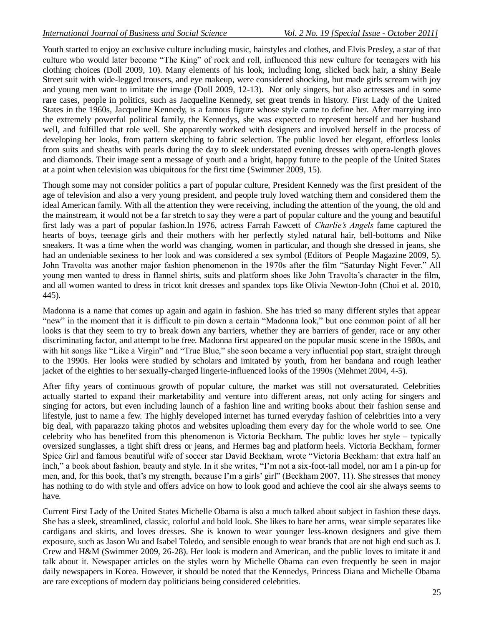Youth started to enjoy an exclusive culture including music, hairstyles and clothes, and Elvis Presley, a star of that culture who would later become "The King" of rock and roll, influenced this new culture for teenagers with his clothing choices (Doll 2009, 10). Many elements of his look, including long, slicked back hair, a shiny Beale Street suit with wide-legged trousers, and eye makeup, were considered shocking, but made girls scream with joy and young men want to imitate the image (Doll 2009, 12-13). Not only singers, but also actresses and in some rare cases, people in politics, such as Jacqueline Kennedy, set great trends in history. First Lady of the United States in the 1960s, Jacqueline Kennedy, is a famous figure whose style came to define her. After marrying into the extremely powerful political family, the Kennedys, she was expected to represent herself and her husband well, and fulfilled that role well. She apparently worked with designers and involved herself in the process of developing her looks, from pattern sketching to fabric selection. The public loved her elegant, effortless looks from suits and sheaths with pearls during the day to sleek understated evening dresses with opera-length gloves and diamonds. Their image sent a message of youth and a bright, happy future to the people of the United States at a point when television was ubiquitous for the first time (Swimmer 2009, 15).

Though some may not consider politics a part of popular culture, President Kennedy was the first president of the age of television and also a very young president, and people truly loved watching them and considered them the ideal American family. With all the attention they were receiving, including the attention of the young, the old and the mainstream, it would not be a far stretch to say they were a part of popular culture and the young and beautiful first lady was a part of popular fashion.In 1976, actress Farrah Fawcett of *Charlie's Angels* fame captured the hearts of boys, teenage girls and their mothers with her perfectly styled natural hair, bell-bottoms and Nike sneakers. It was a time when the world was changing, women in particular, and though she dressed in jeans, she had an undeniable sexiness to her look and was considered a sex symbol (Editors of People Magazine 2009, 5). John Travolta was another major fashion phenomenon in the 1970s after the film "Saturday Night Fever." All young men wanted to dress in flannel shirts, suits and platform shoes like John Travolta"s character in the film, and all women wanted to dress in tricot knit dresses and spandex tops like Olivia Newton-John (Choi et al. 2010, 445).

Madonna is a name that comes up again and again in fashion. She has tried so many different styles that appear "new" in the moment that it is difficult to pin down a certain "Madonna look," but one common point of all her looks is that they seem to try to break down any barriers, whether they are barriers of gender, race or any other discriminating factor, and attempt to be free. Madonna first appeared on the popular music scene in the 1980s, and with hit songs like "Like a Virgin" and "True Blue," she soon became a very influential pop start, straight through to the 1990s. Her looks were studied by scholars and imitated by youth, from her bandana and rough leather jacket of the eighties to her sexually-charged lingerie-influenced looks of the 1990s (Mehmet 2004, 4-5).

After fifty years of continuous growth of popular culture, the market was still not oversaturated. Celebrities actually started to expand their marketability and venture into different areas, not only acting for singers and singing for actors, but even including launch of a fashion line and writing books about their fashion sense and lifestyle, just to name a few. The highly developed internet has turned everyday fashion of celebrities into a very big deal, with paparazzo taking photos and websites uploading them every day for the whole world to see. One celebrity who has benefited from this phenomenon is Victoria Beckham. The public loves her style – typically oversized sunglasses, a tight shift dress or jeans, and Hermes bag and platform heels. Victoria Beckham, former Spice Girl and famous beautiful wife of soccer star David Beckham, wrote "Victoria Beckham: that extra half an inch," a book about fashion, beauty and style. In it she writes, "I"m not a six-foot-tall model, nor am I a pin-up for men, and, for this book, that's my strength, because I'm a girls' girl" (Beckham 2007, 11). She stresses that money has nothing to do with style and offers advice on how to look good and achieve the cool air she always seems to have.

Current First Lady of the United States Michelle Obama is also a much talked about subject in fashion these days. She has a sleek, streamlined, classic, colorful and bold look. She likes to bare her arms, wear simple separates like cardigans and skirts, and loves dresses. She is known to wear younger less-known designers and give them exposure, such as Jason Wu and Isabel Toledo, and sensible enough to wear brands that are not high end such as J. Crew and H&M (Swimmer 2009, 26-28). Her look is modern and American, and the public loves to imitate it and talk about it. Newspaper articles on the styles worn by Michelle Obama can even frequently be seen in major daily newspapers in Korea. However, it should be noted that the Kennedys, Princess Diana and Michelle Obama are rare exceptions of modern day politicians being considered celebrities.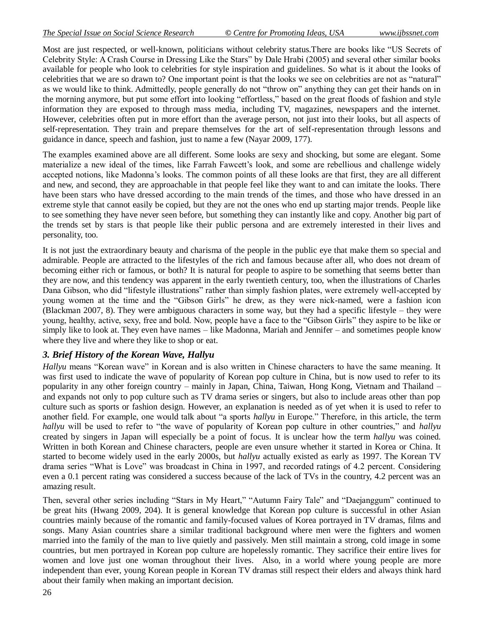Most are just respected, or well-known, politicians without celebrity status.There are books like "US Secrets of Celebrity Style: A Crash Course in Dressing Like the Stars" by Dale Hrabi (2005) and several other similar books available for people who look to celebrities for style inspiration and guidelines. So what is it about the looks of celebrities that we are so drawn to? One important point is that the looks we see on celebrities are not as "natural" as we would like to think. Admittedly, people generally do not "throw on" anything they can get their hands on in the morning anymore, but put some effort into looking "effortless," based on the great floods of fashion and style information they are exposed to through mass media, including TV, magazines, newspapers and the internet. However, celebrities often put in more effort than the average person, not just into their looks, but all aspects of self-representation. They train and prepare themselves for the art of self-representation through lessons and guidance in dance, speech and fashion, just to name a few (Nayar 2009, 177).

The examples examined above are all different. Some looks are sexy and shocking, but some are elegant. Some materialize a new ideal of the times, like Farrah Fawcett"s look, and some are rebellious and challenge widely accepted notions, like Madonna"s looks. The common points of all these looks are that first, they are all different and new, and second, they are approachable in that people feel like they want to and can imitate the looks. There have been stars who have dressed according to the main trends of the times, and those who have dressed in an extreme style that cannot easily be copied, but they are not the ones who end up starting major trends. People like to see something they have never seen before, but something they can instantly like and copy. Another big part of the trends set by stars is that people like their public persona and are extremely interested in their lives and personality, too.

It is not just the extraordinary beauty and charisma of the people in the public eye that make them so special and admirable. People are attracted to the lifestyles of the rich and famous because after all, who does not dream of becoming either rich or famous, or both? It is natural for people to aspire to be something that seems better than they are now, and this tendency was apparent in the early twentieth century, too, when the illustrations of Charles Dana Gibson, who did "lifestyle illustrations" rather than simply fashion plates, were extremely well-accepted by young women at the time and the "Gibson Girls" he drew, as they were nick-named, were a fashion icon (Blackman 2007, 8). They were ambiguous characters in some way, but they had a specific lifestyle – they were young, healthy, active, sexy, free and bold. Now, people have a face to the "Gibson Girls" they aspire to be like or simply like to look at. They even have names – like Madonna, Mariah and Jennifer – and sometimes people know where they live and where they like to shop or eat.

## *3. Brief History of the Korean Wave, Hallyu*

*Hallyu* means "Korean wave" in Korean and is also written in Chinese characters to have the same meaning. It was first used to indicate the wave of popularity of Korean pop culture in China, but is now used to refer to its popularity in any other foreign country – mainly in Japan, China, Taiwan, Hong Kong, Vietnam and Thailand – and expands not only to pop culture such as TV drama series or singers, but also to include areas other than pop culture such as sports or fashion design. However, an explanation is needed as of yet when it is used to refer to another field. For example, one would talk about "a sports *hallyu* in Europe." Therefore, in this article, the term *hallyu* will be used to refer to "the wave of popularity of Korean pop culture in other countries," and *hallyu* created by singers in Japan will especially be a point of focus. It is unclear how the term *hallyu* was coined. Written in both Korean and Chinese characters, people are even unsure whether it started in Korea or China. It started to become widely used in the early 2000s, but *hallyu* actually existed as early as 1997. The Korean TV drama series "What is Love" was broadcast in China in 1997, and recorded ratings of 4.2 percent. Considering even a 0.1 percent rating was considered a success because of the lack of TVs in the country, 4.2 percent was an amazing result.

Then, several other series including "Stars in My Heart," "Autumn Fairy Tale" and "Daejanggum" continued to be great hits (Hwang 2009, 204). It is general knowledge that Korean pop culture is successful in other Asian countries mainly because of the romantic and family-focused values of Korea portrayed in TV dramas, films and songs. Many Asian countries share a similar traditional background where men were the fighters and women married into the family of the man to live quietly and passively. Men still maintain a strong, cold image in some countries, but men portrayed in Korean pop culture are hopelessly romantic. They sacrifice their entire lives for women and love just one woman throughout their lives. Also, in a world where young people are more independent than ever, young Korean people in Korean TV dramas still respect their elders and always think hard about their family when making an important decision.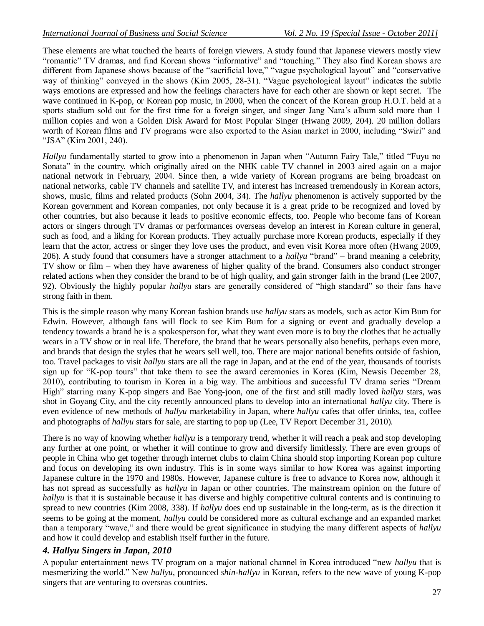These elements are what touched the hearts of foreign viewers. A study found that Japanese viewers mostly view "romantic" TV dramas, and find Korean shows "informative" and "touching." They also find Korean shows are different from Japanese shows because of the "sacrificial love," "vague psychological layout" and "conservative way of thinking" conveyed in the shows (Kim 2005, 28-31). "Vague psychological layout" indicates the subtle ways emotions are expressed and how the feelings characters have for each other are shown or kept secret. The wave continued in K-pop, or Korean pop music, in 2000, when the concert of the Korean group H.O.T. held at a sports stadium sold out for the first time for a foreign singer, and singer Jang Nara"s album sold more than 1 million copies and won a Golden Disk Award for Most Popular Singer (Hwang 2009, 204). 20 million dollars worth of Korean films and TV programs were also exported to the Asian market in 2000, including "Swiri" and "JSA" (Kim 2001, 240).

*Hallyu* fundamentally started to grow into a phenomenon in Japan when "Autumn Fairy Tale," titled "Fuyu no Sonata" in the country, which originally aired on the NHK cable TV channel in 2003 aired again on a major national network in February, 2004. Since then, a wide variety of Korean programs are being broadcast on national networks, cable TV channels and satellite TV, and interest has increased tremendously in Korean actors, shows, music, films and related products (Sohn 2004, 34). The *hallyu* phenomenon is actively supported by the Korean government and Korean companies, not only because it is a great pride to be recognized and loved by other countries, but also because it leads to positive economic effects, too. People who become fans of Korean actors or singers through TV dramas or performances overseas develop an interest in Korean culture in general, such as food, and a liking for Korean products. They actually purchase more Korean products, especially if they learn that the actor, actress or singer they love uses the product, and even visit Korea more often (Hwang 2009, 206). A study found that consumers have a stronger attachment to a *hallyu* "brand" – brand meaning a celebrity, TV show or film – when they have awareness of higher quality of the brand. Consumers also conduct stronger related actions when they consider the brand to be of high quality, and gain stronger faith in the brand (Lee 2007, 92). Obviously the highly popular *hallyu* stars are generally considered of "high standard" so their fans have strong faith in them.

This is the simple reason why many Korean fashion brands use *hallyu* stars as models, such as actor Kim Bum for Edwin. However, although fans will flock to see Kim Bum for a signing or event and gradually develop a tendency towards a brand he is a spokesperson for, what they want even more is to buy the clothes that he actually wears in a TV show or in real life. Therefore, the brand that he wears personally also benefits, perhaps even more, and brands that design the styles that he wears sell well, too. There are major national benefits outside of fashion, too. Travel packages to visit *hallyu* stars are all the rage in Japan, and at the end of the year, thousands of tourists sign up for "K-pop tours" that take them to see the award ceremonies in Korea (Kim, Newsis December 28, 2010), contributing to tourism in Korea in a big way. The ambitious and successful TV drama series "Dream High" starring many K-pop singers and Bae Yong-joon, one of the first and still madly loved *hallyu* stars, was shot in Goyang City, and the city recently announced plans to develop into an international *hallyu* city. There is even evidence of new methods of *hallyu* marketability in Japan, where *hallyu* cafes that offer drinks, tea, coffee and photographs of *hallyu* stars for sale, are starting to pop up (Lee, TV Report December 31, 2010).

There is no way of knowing whether *hallyu* is a temporary trend, whether it will reach a peak and stop developing any further at one point, or whether it will continue to grow and diversify limitlessly. There are even groups of people in China who get together through internet clubs to claim China should stop importing Korean pop culture and focus on developing its own industry. This is in some ways similar to how Korea was against importing Japanese culture in the 1970 and 1980s. However, Japanese culture is free to advance to Korea now, although it has not spread as successfully as *hallyu* in Japan or other countries. The mainstream opinion on the future of *hallyu* is that it is sustainable because it has diverse and highly competitive cultural contents and is continuing to spread to new countries (Kim 2008, 338). If *hallyu* does end up sustainable in the long-term, as is the direction it seems to be going at the moment, *hallyu* could be considered more as cultural exchange and an expanded market than a temporary "wave," and there would be great significance in studying the many different aspects of *hallyu* and how it could develop and establish itself further in the future.

## *4. Hallyu Singers in Japan, 2010*

A popular entertainment news TV program on a major national channel in Korea introduced "new *hallyu* that is mesmerizing the world." New *hallyu*, pronounced *shin-hallyu* in Korean, refers to the new wave of young K-pop singers that are venturing to overseas countries.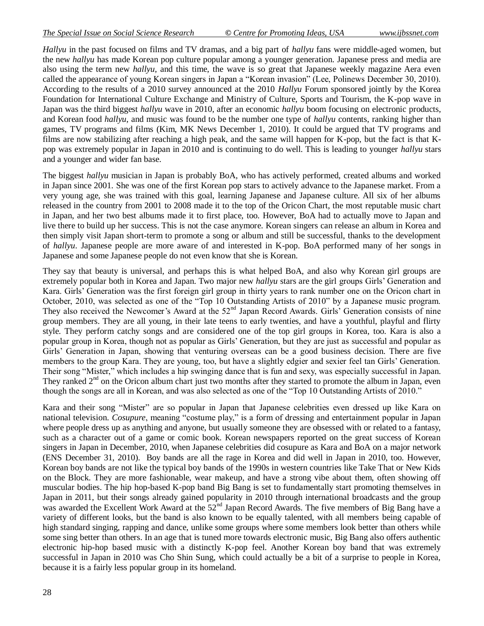*Hallyu* in the past focused on films and TV dramas, and a big part of *hallyu* fans were middle-aged women, but the new *hallyu* has made Korean pop culture popular among a younger generation. Japanese press and media are also using the term new *hallyu*, and this time, the wave is so great that Japanese weekly magazine Aera even called the appearance of young Korean singers in Japan a "Korean invasion" (Lee, Polinews December 30, 2010). According to the results of a 2010 survey announced at the 2010 *Hallyu* Forum sponsored jointly by the Korea Foundation for International Culture Exchange and Ministry of Culture, Sports and Tourism, the K-pop wave in Japan was the third biggest *hallyu* wave in 2010, after an economic *hallyu* boom focusing on electronic products, and Korean food *hallyu*, and music was found to be the number one type of *hallyu* contents, ranking higher than games, TV programs and films (Kim, MK News December 1, 2010). It could be argued that TV programs and films are now stabilizing after reaching a high peak, and the same will happen for K-pop, but the fact is that Kpop was extremely popular in Japan in 2010 and is continuing to do well. This is leading to younger *hallyu* stars and a younger and wider fan base.

The biggest *hallyu* musician in Japan is probably BoA, who has actively performed, created albums and worked in Japan since 2001. She was one of the first Korean pop stars to actively advance to the Japanese market. From a very young age, she was trained with this goal, learning Japanese and Japanese culture. All six of her albums released in the country from 2001 to 2008 made it to the top of the Oricon Chart, the most reputable music chart in Japan, and her two best albums made it to first place, too. However, BoA had to actually move to Japan and live there to build up her success. This is not the case anymore. Korean singers can release an album in Korea and then simply visit Japan short-term to promote a song or album and still be successful, thanks to the development of *hallyu*. Japanese people are more aware of and interested in K-pop. BoA performed many of her songs in Japanese and some Japanese people do not even know that she is Korean.

They say that beauty is universal, and perhaps this is what helped BoA, and also why Korean girl groups are extremely popular both in Korea and Japan. Two major new *hallyu* stars are the girl groups Girls" Generation and Kara. Girls' Generation was the first foreign girl group in thirty years to rank number one on the Oricon chart in October, 2010, was selected as one of the "Top 10 Outstanding Artists of 2010" by a Japanese music program. They also received the Newcomer's Award at the 52<sup>nd</sup> Japan Record Awards. Girls' Generation consists of nine group members. They are all young, in their late teens to early twenties, and have a youthful, playful and flirty style. They perform catchy songs and are considered one of the top girl groups in Korea, too. Kara is also a popular group in Korea, though not as popular as Girls" Generation, but they are just as successful and popular as Girls" Generation in Japan, showing that venturing overseas can be a good business decision. There are five members to the group Kara. They are young, too, but have a slightly edgier and sexier feel tan Girls' Generation. Their song "Mister," which includes a hip swinging dance that is fun and sexy, was especially successful in Japan. They ranked  $2<sup>nd</sup>$  on the Oricon album chart just two months after they started to promote the album in Japan, even though the songs are all in Korean, and was also selected as one of the "Top 10 Outstanding Artists of 2010."

Kara and their song "Mister" are so popular in Japan that Japanese celebrities even dressed up like Kara on national television. *Cosupure*, meaning "costume play," is a form of dressing and entertainment popular in Japan where people dress up as anything and anyone, but usually someone they are obsessed with or related to a fantasy, such as a character out of a game or comic book. Korean newspapers reported on the great success of Korean singers in Japan in December, 2010, when Japanese celebrities did cosupure as Kara and BoA on a major network (ENS December 31, 2010). Boy bands are all the rage in Korea and did well in Japan in 2010, too. However, Korean boy bands are not like the typical boy bands of the 1990s in western countries like Take That or New Kids on the Block. They are more fashionable, wear makeup, and have a strong vibe about them, often showing off muscular bodies. The hip hop-based K-pop band Big Bang is set to fundamentally start promoting themselves in Japan in 2011, but their songs already gained popularity in 2010 through international broadcasts and the group was awarded the Excellent Work Award at the 52<sup>nd</sup> Japan Record Awards. The five members of Big Bang have a variety of different looks, but the band is also known to be equally talented, with all members being capable of high standard singing, rapping and dance, unlike some groups where some members look better than others while some sing better than others. In an age that is tuned more towards electronic music, Big Bang also offers authentic electronic hip-hop based music with a distinctly K-pop feel. Another Korean boy band that was extremely successful in Japan in 2010 was Cho Shin Sung, which could actually be a bit of a surprise to people in Korea, because it is a fairly less popular group in its homeland.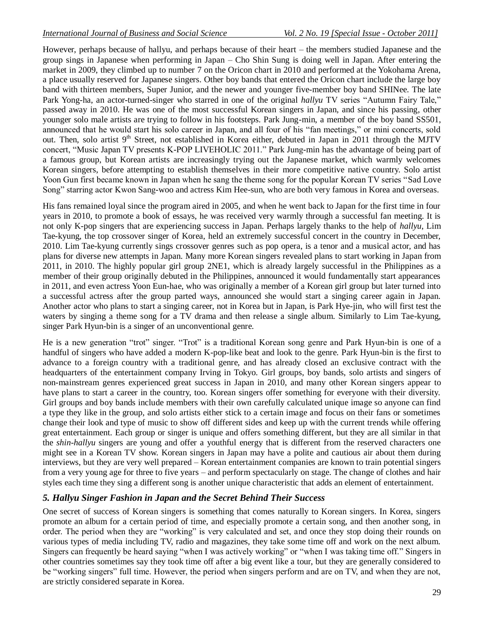However, perhaps because of hallyu, and perhaps because of their heart – the members studied Japanese and the group sings in Japanese when performing in Japan – Cho Shin Sung is doing well in Japan. After entering the market in 2009, they climbed up to number 7 on the Oricon chart in 2010 and performed at the Yokohama Arena, a place usually reserved for Japanese singers. Other boy bands that entered the Oricon chart include the large boy band with thirteen members, Super Junior, and the newer and younger five-member boy band SHINee. The late Park Yong-ha, an actor-turned-singer who starred in one of the original *hallyu* TV series "Autumn Fairy Tale," passed away in 2010. He was one of the most successful Korean singers in Japan, and since his passing, other younger solo male artists are trying to follow in his footsteps. Park Jung-min, a member of the boy band SS501, announced that he would start his solo career in Japan, and all four of his "fan meetings," or mini concerts, sold out. Then, solo artist 9<sup>th</sup> Street, not established in Korea either, debuted in Japan in 2011 through the MJTV concert, "Music Japan TV presents K-POP LIVEHOLIC 2011." Park Jung-min has the advantage of being part of a famous group, but Korean artists are increasingly trying out the Japanese market, which warmly welcomes Korean singers, before attempting to establish themselves in their more competitive native country. Solo artist Yoon Gun first became known in Japan when he sang the theme song for the popular Korean TV series "Sad Love Song" starring actor Kwon Sang-woo and actress Kim Hee-sun, who are both very famous in Korea and overseas.

His fans remained loyal since the program aired in 2005, and when he went back to Japan for the first time in four years in 2010, to promote a book of essays, he was received very warmly through a successful fan meeting. It is not only K-pop singers that are experiencing success in Japan. Perhaps largely thanks to the help of *hallyu*, Lim Tae-kyung, the top crossover singer of Korea, held an extremely successful concert in the country in December, 2010. Lim Tae-kyung currently sings crossover genres such as pop opera, is a tenor and a musical actor, and has plans for diverse new attempts in Japan. Many more Korean singers revealed plans to start working in Japan from 2011, in 2010. The highly popular girl group 2NE1, which is already largely successful in the Philippines as a member of their group originally debuted in the Philippines, announced it would fundamentally start appearances in 2011, and even actress Yoon Eun-hae, who was originally a member of a Korean girl group but later turned into a successful actress after the group parted ways, announced she would start a singing career again in Japan. Another actor who plans to start a singing career, not in Korea but in Japan, is Park Hye-jin, who will first test the waters by singing a theme song for a TV drama and then release a single album. Similarly to Lim Tae-kyung, singer Park Hyun-bin is a singer of an unconventional genre.

He is a new generation "trot" singer. "Trot" is a traditional Korean song genre and Park Hyun-bin is one of a handful of singers who have added a modern K-pop-like beat and look to the genre. Park Hyun-bin is the first to advance to a foreign country with a traditional genre, and has already closed an exclusive contract with the headquarters of the entertainment company Irving in Tokyo. Girl groups, boy bands, solo artists and singers of non-mainstream genres experienced great success in Japan in 2010, and many other Korean singers appear to have plans to start a career in the country, too. Korean singers offer something for everyone with their diversity. Girl groups and boy bands include members with their own carefully calculated unique image so anyone can find a type they like in the group, and solo artists either stick to a certain image and focus on their fans or sometimes change their look and type of music to show off different sides and keep up with the current trends while offering great entertainment. Each group or singer is unique and offers something different, but they are all similar in that the *shin-hallyu* singers are young and offer a youthful energy that is different from the reserved characters one might see in a Korean TV show. Korean singers in Japan may have a polite and cautious air about them during interviews, but they are very well prepared – Korean entertainment companies are known to train potential singers from a very young age for three to five years – and perform spectacularly on stage. The change of clothes and hair styles each time they sing a different song is another unique characteristic that adds an element of entertainment.

### *5. Hallyu Singer Fashion in Japan and the Secret Behind Their Success*

One secret of success of Korean singers is something that comes naturally to Korean singers. In Korea, singers promote an album for a certain period of time, and especially promote a certain song, and then another song, in order. The period when they are "working" is very calculated and set, and once they stop doing their rounds on various types of media including TV, radio and magazines, they take some time off and work on the next album. Singers can frequently be heard saying "when I was actively working" or "when I was taking time off." Singers in other countries sometimes say they took time off after a big event like a tour, but they are generally considered to be "working singers" full time. However, the period when singers perform and are on TV, and when they are not, are strictly considered separate in Korea.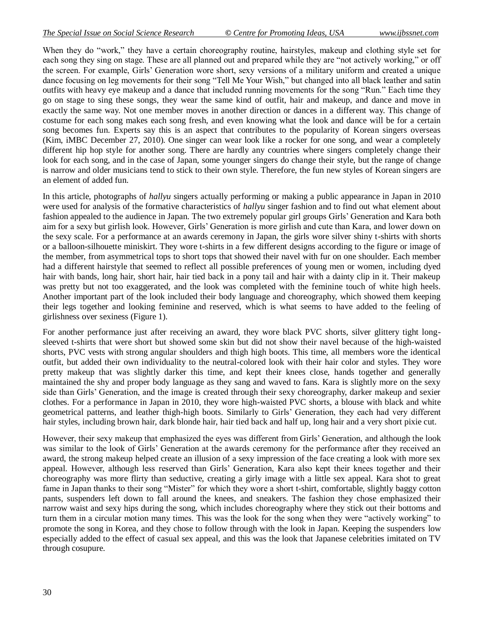When they do "work," they have a certain choreography routine, hairstyles, makeup and clothing style set for each song they sing on stage. These are all planned out and prepared while they are "not actively working," or off the screen. For example, Girls" Generation wore short, sexy versions of a military uniform and created a unique dance focusing on leg movements for their song "Tell Me Your Wish," but changed into all black leather and satin outfits with heavy eye makeup and a dance that included running movements for the song "Run." Each time they go on stage to sing these songs, they wear the same kind of outfit, hair and makeup, and dance and move in exactly the same way. Not one member moves in another direction or dances in a different way. This change of costume for each song makes each song fresh, and even knowing what the look and dance will be for a certain song becomes fun. Experts say this is an aspect that contributes to the popularity of Korean singers overseas (Kim, iMBC December 27, 2010). One singer can wear look like a rocker for one song, and wear a completely different hip hop style for another song. There are hardly any countries where singers completely change their look for each song, and in the case of Japan, some younger singers do change their style, but the range of change is narrow and older musicians tend to stick to their own style. Therefore, the fun new styles of Korean singers are an element of added fun.

In this article, photographs of *hallyu* singers actually performing or making a public appearance in Japan in 2010 were used for analysis of the formative characteristics of *hallyu* singer fashion and to find out what element about fashion appealed to the audience in Japan. The two extremely popular girl groups Girls" Generation and Kara both aim for a sexy but girlish look. However, Girls" Generation is more girlish and cute than Kara, and lower down on the sexy scale. For a performance at an awards ceremony in Japan, the girls wore silver shiny t-shirts with shorts or a balloon-silhouette miniskirt. They wore t-shirts in a few different designs according to the figure or image of the member, from asymmetrical tops to short tops that showed their navel with fur on one shoulder. Each member had a different hairstyle that seemed to reflect all possible preferences of young men or women, including dyed hair with bands, long hair, short hair, hair tied back in a pony tail and hair with a dainty clip in it. Their makeup was pretty but not too exaggerated, and the look was completed with the feminine touch of white high heels. Another important part of the look included their body language and choreography, which showed them keeping their legs together and looking feminine and reserved, which is what seems to have added to the feeling of girlishness over sexiness (Figure 1).

For another performance just after receiving an award, they wore black PVC shorts, silver glittery tight longsleeved t-shirts that were short but showed some skin but did not show their navel because of the high-waisted shorts, PVC vests with strong angular shoulders and thigh high boots. This time, all members wore the identical outfit, but added their own individuality to the neutral-colored look with their hair color and styles. They wore pretty makeup that was slightly darker this time, and kept their knees close, hands together and generally maintained the shy and proper body language as they sang and waved to fans. Kara is slightly more on the sexy side than Girls" Generation, and the image is created through their sexy choreography, darker makeup and sexier clothes. For a performance in Japan in 2010, they wore high-waisted PVC shorts, a blouse with black and white geometrical patterns, and leather thigh-high boots. Similarly to Girls" Generation, they each had very different hair styles, including brown hair, dark blonde hair, hair tied back and half up, long hair and a very short pixie cut.

However, their sexy makeup that emphasized the eyes was different from Girls" Generation, and although the look was similar to the look of Girls' Generation at the awards ceremony for the performance after they received an award, the strong makeup helped create an illusion of a sexy impression of the face creating a look with more sex appeal. However, although less reserved than Girls" Generation, Kara also kept their knees together and their choreography was more flirty than seductive, creating a girly image with a little sex appeal. Kara shot to great fame in Japan thanks to their song "Mister" for which they wore a short t-shirt, comfortable, slightly baggy cotton pants, suspenders left down to fall around the knees, and sneakers. The fashion they chose emphasized their narrow waist and sexy hips during the song, which includes choreography where they stick out their bottoms and turn them in a circular motion many times. This was the look for the song when they were "actively working" to promote the song in Korea, and they chose to follow through with the look in Japan. Keeping the suspenders low especially added to the effect of casual sex appeal, and this was the look that Japanese celebrities imitated on TV through cosupure.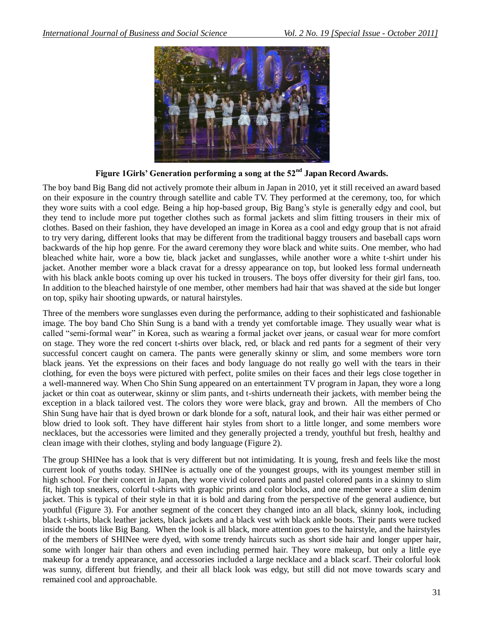

**Figure 1Girls' Generation performing a song at the 52nd Japan Record Awards.**

The boy band Big Bang did not actively promote their album in Japan in 2010, yet it still received an award based on their exposure in the country through satellite and cable TV. They performed at the ceremony, too, for which they wore suits with a cool edge. Being a hip hop-based group, Big Bang"s style is generally edgy and cool, but they tend to include more put together clothes such as formal jackets and slim fitting trousers in their mix of clothes. Based on their fashion, they have developed an image in Korea as a cool and edgy group that is not afraid to try very daring, different looks that may be different from the traditional baggy trousers and baseball caps worn backwards of the hip hop genre. For the award ceremony they wore black and white suits. One member, who had bleached white hair, wore a bow tie, black jacket and sunglasses, while another wore a white t-shirt under his jacket. Another member wore a black cravat for a dressy appearance on top, but looked less formal underneath with his black ankle boots coming up over his tucked in trousers. The boys offer diversity for their girl fans, too. In addition to the bleached hairstyle of one member, other members had hair that was shaved at the side but longer on top, spiky hair shooting upwards, or natural hairstyles.

Three of the members wore sunglasses even during the performance, adding to their sophisticated and fashionable image. The boy band Cho Shin Sung is a band with a trendy yet comfortable image. They usually wear what is called "semi-formal wear" in Korea, such as wearing a formal jacket over jeans, or casual wear for more comfort on stage. They wore the red concert t-shirts over black, red, or black and red pants for a segment of their very successful concert caught on camera. The pants were generally skinny or slim, and some members wore torn black jeans. Yet the expressions on their faces and body language do not really go well with the tears in their clothing, for even the boys were pictured with perfect, polite smiles on their faces and their legs close together in a well-mannered way. When Cho Shin Sung appeared on an entertainment TV program in Japan, they wore a long jacket or thin coat as outerwear, skinny or slim pants, and t-shirts underneath their jackets, with member being the exception in a black tailored vest. The colors they wore were black, gray and brown. All the members of Cho Shin Sung have hair that is dyed brown or dark blonde for a soft, natural look, and their hair was either permed or blow dried to look soft. They have different hair styles from short to a little longer, and some members wore necklaces, but the accessories were limited and they generally projected a trendy, youthful but fresh, healthy and clean image with their clothes, styling and body language (Figure 2).

The group SHINee has a look that is very different but not intimidating. It is young, fresh and feels like the most current look of youths today. SHINee is actually one of the youngest groups, with its youngest member still in high school. For their concert in Japan, they wore vivid colored pants and pastel colored pants in a skinny to slim fit, high top sneakers, colorful t-shirts with graphic prints and color blocks, and one member wore a slim denim jacket. This is typical of their style in that it is bold and daring from the perspective of the general audience, but youthful (Figure 3). For another segment of the concert they changed into an all black, skinny look, including black t-shirts, black leather jackets, black jackets and a black vest with black ankle boots. Their pants were tucked inside the boots like Big Bang. When the look is all black, more attention goes to the hairstyle, and the hairstyles of the members of SHINee were dyed, with some trendy haircuts such as short side hair and longer upper hair, some with longer hair than others and even including permed hair. They wore makeup, but only a little eye makeup for a trendy appearance, and accessories included a large necklace and a black scarf. Their colorful look was sunny, different but friendly, and their all black look was edgy, but still did not move towards scary and remained cool and approachable.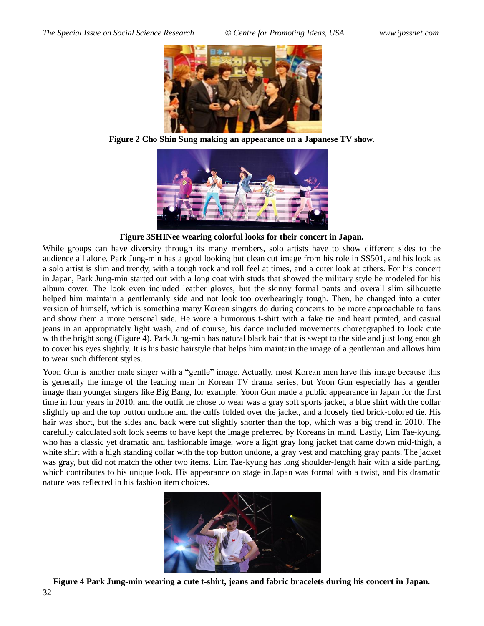

**Figure 2 Cho Shin Sung making an appearance on a Japanese TV show.**



**Figure 3SHINee wearing colorful looks for their concert in Japan.**

While groups can have diversity through its many members, solo artists have to show different sides to the audience all alone. Park Jung-min has a good looking but clean cut image from his role in SS501, and his look as a solo artist is slim and trendy, with a tough rock and roll feel at times, and a cuter look at others. For his concert in Japan, Park Jung-min started out with a long coat with studs that showed the military style he modeled for his album cover. The look even included leather gloves, but the skinny formal pants and overall slim silhouette helped him maintain a gentlemanly side and not look too overbearingly tough. Then, he changed into a cuter version of himself, which is something many Korean singers do during concerts to be more approachable to fans and show them a more personal side. He wore a humorous t-shirt with a fake tie and heart printed, and casual jeans in an appropriately light wash, and of course, his dance included movements choreographed to look cute with the bright song (Figure 4). Park Jung-min has natural black hair that is swept to the side and just long enough to cover his eyes slightly. It is his basic hairstyle that helps him maintain the image of a gentleman and allows him to wear such different styles.

Yoon Gun is another male singer with a "gentle" image. Actually, most Korean men have this image because this is generally the image of the leading man in Korean TV drama series, but Yoon Gun especially has a gentler image than younger singers like Big Bang, for example. Yoon Gun made a public appearance in Japan for the first time in four years in 2010, and the outfit he chose to wear was a gray soft sports jacket, a blue shirt with the collar slightly up and the top button undone and the cuffs folded over the jacket, and a loosely tied brick-colored tie. His hair was short, but the sides and back were cut slightly shorter than the top, which was a big trend in 2010. The carefully calculated soft look seems to have kept the image preferred by Koreans in mind. Lastly, Lim Tae-kyung, who has a classic yet dramatic and fashionable image, wore a light gray long jacket that came down mid-thigh, a white shirt with a high standing collar with the top button undone, a gray vest and matching gray pants. The jacket was gray, but did not match the other two items. Lim Tae-kyung has long shoulder-length hair with a side parting, which contributes to his unique look. His appearance on stage in Japan was formal with a twist, and his dramatic nature was reflected in his fashion item choices.



**Figure 4 Park Jung-min wearing a cute t-shirt, jeans and fabric bracelets during his concert in Japan.**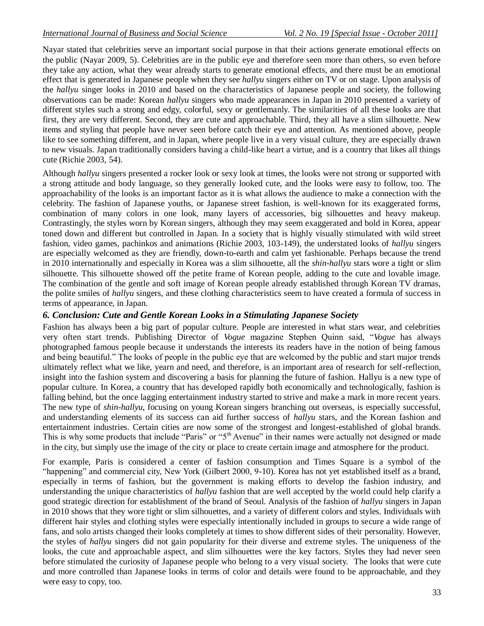Nayar stated that celebrities serve an important social purpose in that their actions generate emotional effects on the public (Nayar 2009, 5). Celebrities are in the public eye and therefore seen more than others, so even before they take any action, what they wear already starts to generate emotional effects, and there must be an emotional effect that is generated in Japanese people when they see *hallyu* singers either on TV or on stage. Upon analysis of the *hallyu* singer looks in 2010 and based on the characteristics of Japanese people and society, the following observations can be made: Korean *hallyu* singers who made appearances in Japan in 2010 presented a variety of different styles such a strong and edgy, colorful, sexy or gentlemanly. The similarities of all these looks are that first, they are very different. Second, they are cute and approachable. Third, they all have a slim silhouette. New items and styling that people have never seen before catch their eye and attention. As mentioned above, people like to see something different, and in Japan, where people live in a very visual culture, they are especially drawn to new visuals. Japan traditionally considers having a child-like heart a virtue, and is a country that likes all things cute (Richie 2003, 54).

Although *hallyu* singers presented a rocker look or sexy look at times, the looks were not strong or supported with a strong attitude and body language, so they generally looked cute, and the looks were easy to follow, too. The approachability of the looks is an important factor as it is what allows the audience to make a connection with the celebrity. The fashion of Japanese youths, or Japanese street fashion, is well-known for its exaggerated forms, combination of many colors in one look, many layers of accessories, big silhouettes and heavy makeup. Contrastingly, the styles worn by Korean singers, although they may seem exaggerated and bold in Korea, appear toned down and different but controlled in Japan. In a society that is highly visually stimulated with wild street fashion, video games, pachinkos and animations (Richie 2003, 103-149), the understated looks of *hallyu* singers are especially welcomed as they are friendly, down-to-earth and calm yet fashionable. Perhaps because the trend in 2010 internationally and especially in Korea was a slim silhouette, all the *shin-hallyu* stars wore a tight or slim silhouette. This silhouette showed off the petite frame of Korean people, adding to the cute and lovable image. The combination of the gentle and soft image of Korean people already established through Korean TV dramas, the polite smiles of *hallyu* singers, and these clothing characteristics seem to have created a formula of success in terms of appearance, in Japan.

### *6. Conclusion: Cute and Gentle Korean Looks in a Stimulating Japanese Society*

Fashion has always been a big part of popular culture. People are interested in what stars wear, and celebrities very often start trends. Publishing Director of *Vogue* magazine Stephen Quinn said, "*Vogue* has always photographed famous people because it understands the interests its readers have in the notion of being famous and being beautiful." The looks of people in the public eye that are welcomed by the public and start major trends ultimately reflect what we like, yearn and need, and therefore, is an important area of research for self-reflection, insight into the fashion system and discovering a basis for planning the future of fashion. Hallyu is a new type of popular culture. In Korea, a country that has developed rapidly both economically and technologically, fashion is falling behind, but the once lagging entertainment industry started to strive and make a mark in more recent years. The new type of *shin-hallyu*, focusing on young Korean singers branching out overseas, is especially successful, and understanding elements of its success can aid further success of *hallyu* stars, and the Korean fashion and entertainment industries. Certain cities are now some of the strongest and longest-established of global brands. This is why some products that include "Paris" or "5<sup>th</sup> Avenue" in their names were actually not designed or made in the city, but simply use the image of the city or place to create certain image and atmosphere for the product.

For example, Paris is considered a center of fashion consumption and Times Square is a symbol of the "happening" and commercial city, New York (Gilbert 2000, 9-10). Korea has not yet established itself as a brand, especially in terms of fashion, but the government is making efforts to develop the fashion industry, and understanding the unique characteristics of *hallyu* fashion that are well accepted by the world could help clarify a good strategic direction for establishment of the brand of Seoul. Analysis of the fashion of *hallyu* singers in Japan in 2010 shows that they wore tight or slim silhouettes, and a variety of different colors and styles. Individuals with different hair styles and clothing styles were especially intentionally included in groups to secure a wide range of fans, and solo artists changed their looks completely at times to show different sides of their personality. However, the styles of *hallyu* singers did not gain popularity for their diverse and extreme styles. The uniqueness of the looks, the cute and approachable aspect, and slim silhouettes were the key factors. Styles they had never seen before stimulated the curiosity of Japanese people who belong to a very visual society. The looks that were cute and more controlled than Japanese looks in terms of color and details were found to be approachable, and they were easy to copy, too.